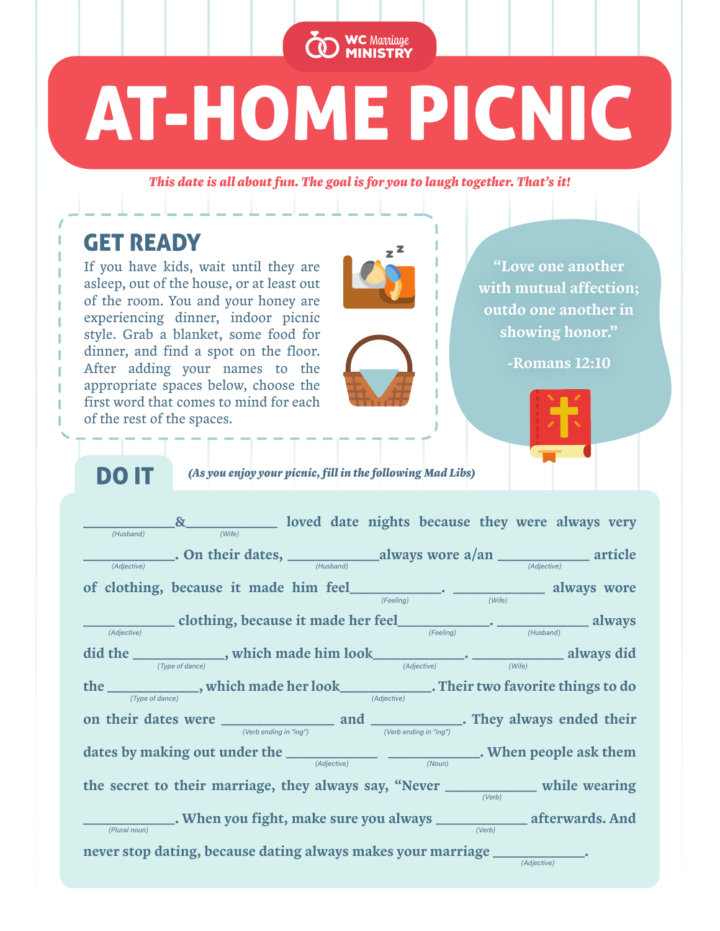# AT-HOME PICNIC

WC Marriage MINISTRY

*This date is all about fun. The goal is for you to laugh together. That's it!*

# GET READY

If you have kids, wait until they are asleep, out of the house, or at least out of the room. You and your honey are experiencing dinner, indoor picnic style. Grab a blanket, some food for dinner, and find a spot on the floor. After adding your names to the appropriate spaces below, choose the first word that comes to mind for each of the rest of the spaces.



"Love one another with mutual affection; outdo one another in showing honor."

-Romans 12:10



DO IT *(As you enjoy your picnic, fill in the following Mad Libs)*

 $\frac{1}{\text{m}(\text{Hussband})}$   $\frac{1}{\text{m}(\text{Hussband})}$  are always very loved date nights because they were always very \_\_\_\_\_\_\_\_\_\_\_\_\_. On their dates, \_\_\_\_\_\_\_\_\_\_\_\_\_always wore a/an \_\_\_\_\_\_\_\_\_\_\_\_\_ article   of clothing, because it made him feel\_\_\_\_\_\_\_\_\_\_\_\_\_. \_\_\_\_\_\_\_\_\_\_\_\_\_ always wore  $\frac{1}{\text{adjective}}$  clothing, because it made her feel  $\frac{1}{\text{[Feeling]}}$ .  $\frac{1}{\text{[Heeling]}}$  always did the  $\frac{1}{(Type \text{ of } dance)}$ , which made him look  $\frac{1}{(Adjective)}$ .  $\frac{1}{(Type \text{ of } dance)}$  always did the \_\_\_\_\_\_\_\_\_\_\_, which made her look\_\_\_\_\_\_\_\_\_\_\_. Their two favorite things to do on their dates were \_\_\_\_\_\_\_\_\_\_\_\_\_\_\_\_ and \_\_\_\_\_\_\_\_\_\_\_\_\_. They always ended their dates by making out under the  $\rule{1em}{0.25mm}$   $\rule{1.2mm}{0.25mm}$   $\qquad \qquad$   $\qquad$   $\qquad$   $\qquad \qquad$   $\qquad$   $\qquad \qquad$   $\qquad$   $\qquad \qquad$   $\qquad$   $\qquad \qquad$   $\qquad$   $\qquad$   $\qquad$   $\qquad$   $\qquad$   $\qquad$   $\qquad$   $\qquad$   $\qquad$   $\qquad$   $\qquad$   $\qquad$   $\qquad$   $\qquad$  the secret to their marriage, they always say, "Never \_\_\_\_\_\_\_\_\_\_\_\_\_ while wearing \_\_\_\_\_\_\_\_\_\_\_\_\_. When you fight, make sure you always \_\_\_\_\_\_\_\_\_\_\_\_\_ afterwards. And never stop dating, because dating always makes your marriage  $\_$  $(Feelina)$ (Adjective) (Adjective)  $\begin{array}{c}\n\text{-}\cdot \text{-}\quad \text{ (Write)} \\
\text{ (Write)}\n\end{array}$  always wore